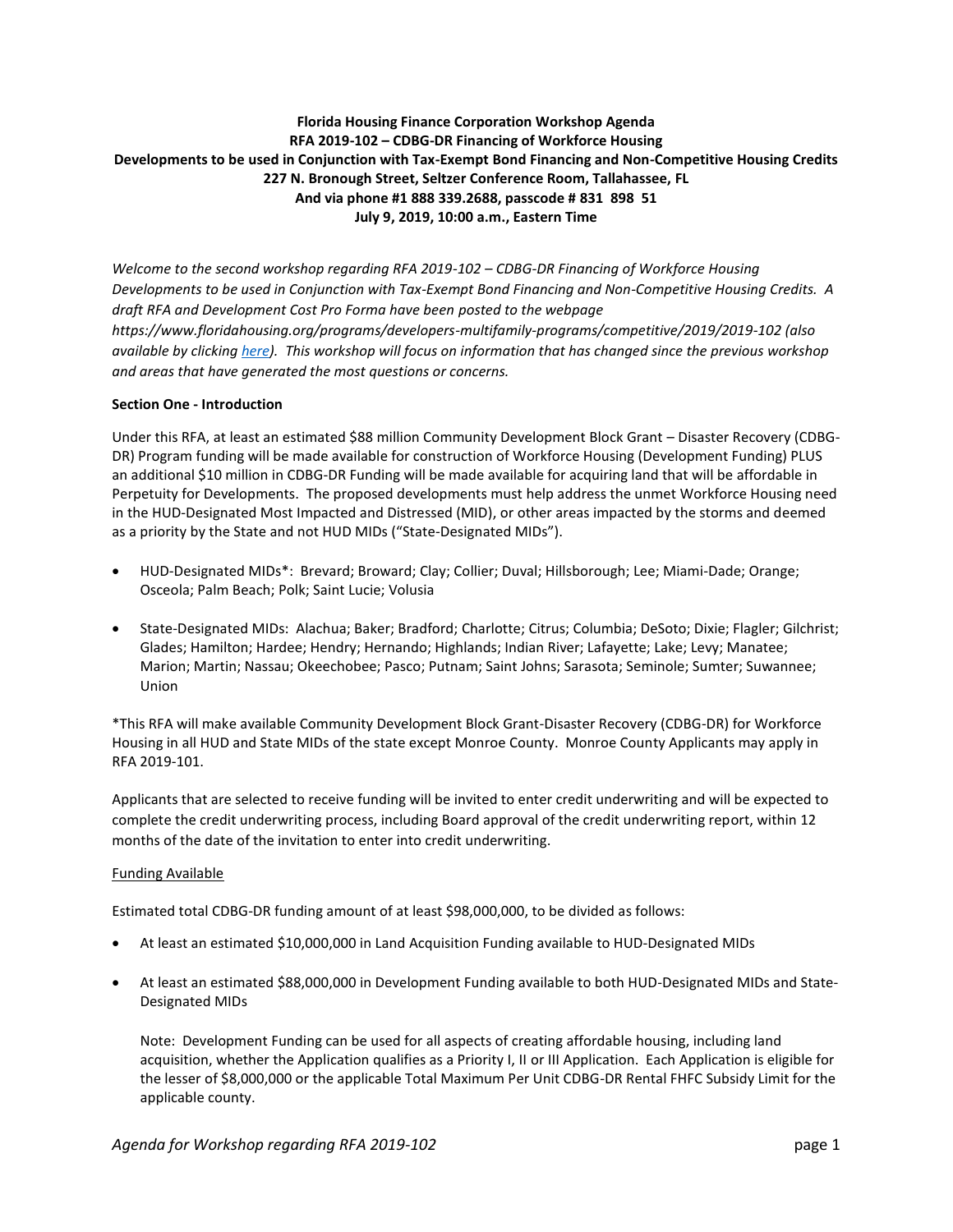# **Florida Housing Finance Corporation Workshop Agenda RFA 2019-102 – CDBG-DR Financing of Workforce Housing Developments to be used in Conjunction with Tax-Exempt Bond Financing and Non-Competitive Housing Credits 227 N. Bronough Street, Seltzer Conference Room, Tallahassee, FL And via phone #1 888 339.2688, passcode # 831 898 51 July 9, 2019, 10:00 a.m., Eastern Time**

*Welcome to the second workshop regarding RFA 2019-102 – CDBG-DR Financing of Workforce Housing Developments to be used in Conjunction with Tax-Exempt Bond Financing and Non-Competitive Housing Credits. A draft RFA and Development Cost Pro Forma have been posted to the webpage https://www.floridahousing.org/programs/developers-multifamily-programs/competitive/2019/2019-102 (also available by clicking [here\)](https://www.floridahousing.org/programs/developers-multifamily-programs/competitive/2019/2019-102/forms-related-to-rfa-2019-102). This workshop will focus on information that has changed since the previous workshop and areas that have generated the most questions or concerns.*

## **Section One - Introduction**

Under this RFA, at least an estimated \$88 million Community Development Block Grant – Disaster Recovery (CDBG-DR) Program funding will be made available for construction of Workforce Housing (Development Funding) PLUS an additional \$10 million in CDBG-DR Funding will be made available for acquiring land that will be affordable in Perpetuity for Developments. The proposed developments must help address the unmet Workforce Housing need in the HUD-Designated Most Impacted and Distressed (MID), or other areas impacted by the storms and deemed as a priority by the State and not HUD MIDs ("State-Designated MIDs").

- HUD-Designated MIDs\*: Brevard; Broward; Clay; Collier; Duval; Hillsborough; Lee; Miami-Dade; Orange; Osceola; Palm Beach; Polk; Saint Lucie; Volusia
- State-Designated MIDs: Alachua; Baker; Bradford; Charlotte; Citrus; Columbia; DeSoto; Dixie; Flagler; Gilchrist; Glades; Hamilton; Hardee; Hendry; Hernando; Highlands; Indian River; Lafayette; Lake; Levy; Manatee; Marion; Martin; Nassau; Okeechobee; Pasco; Putnam; Saint Johns; Sarasota; Seminole; Sumter; Suwannee; Union

\*This RFA will make available Community Development Block Grant-Disaster Recovery (CDBG-DR) for Workforce Housing in all HUD and State MIDs of the state except Monroe County. Monroe County Applicants may apply in RFA 2019-101.

Applicants that are selected to receive funding will be invited to enter credit underwriting and will be expected to complete the credit underwriting process, including Board approval of the credit underwriting report, within 12 months of the date of the invitation to enter into credit underwriting.

## Funding Available

Estimated total CDBG-DR funding amount of at least \$98,000,000, to be divided as follows:

- At least an estimated \$10,000,000 in Land Acquisition Funding available to HUD-Designated MIDs
- At least an estimated \$88,000,000 in Development Funding available to both HUD-Designated MIDs and State-Designated MIDs

Note: Development Funding can be used for all aspects of creating affordable housing, including land acquisition, whether the Application qualifies as a Priority I, II or III Application. Each Application is eligible for the lesser of \$8,000,000 or the applicable Total Maximum Per Unit CDBG-DR Rental FHFC Subsidy Limit for the applicable county.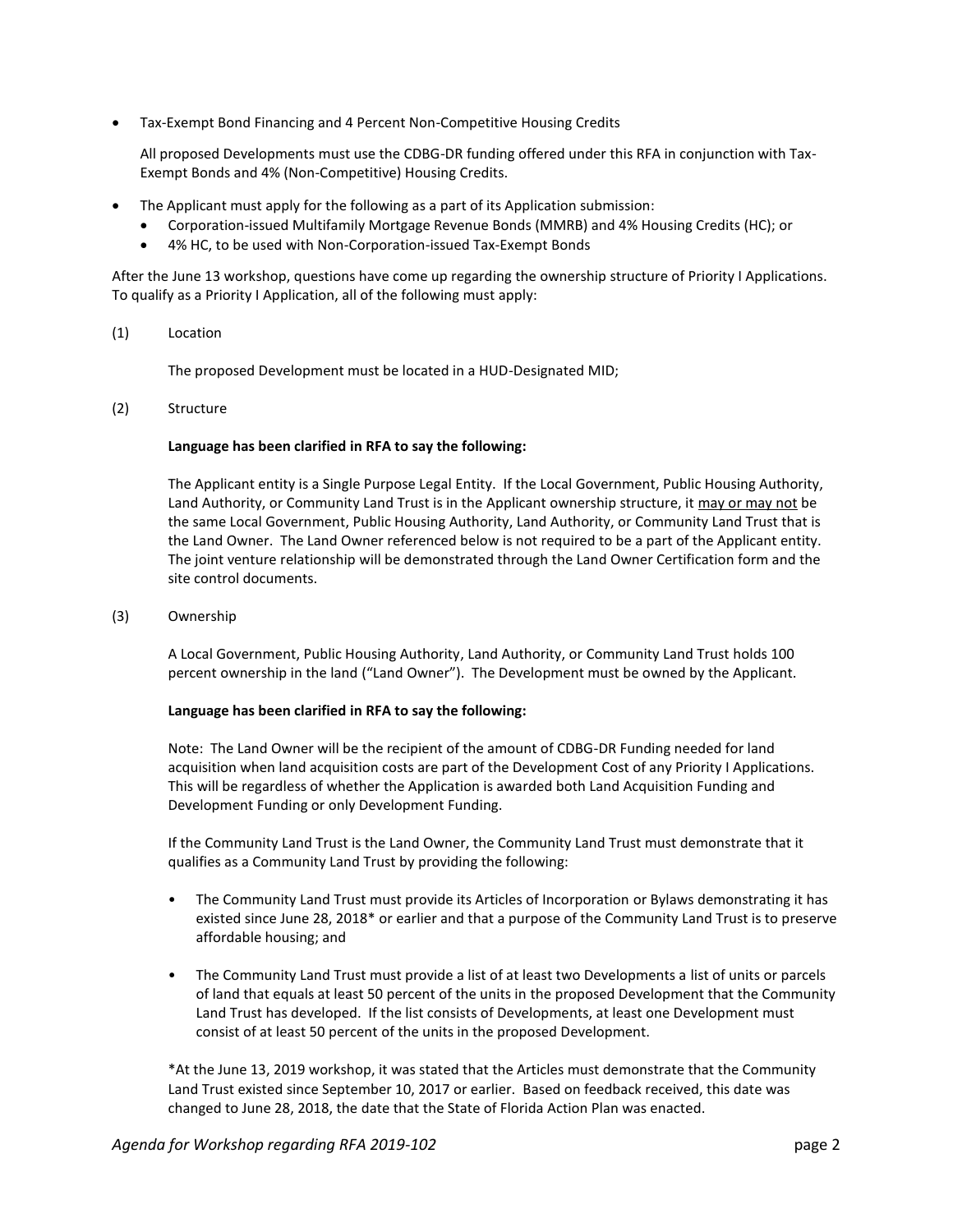• Tax-Exempt Bond Financing and 4 Percent Non-Competitive Housing Credits

All proposed Developments must use the CDBG-DR funding offered under this RFA in conjunction with Tax-Exempt Bonds and 4% (Non-Competitive) Housing Credits.

- The Applicant must apply for the following as a part of its Application submission:
	- Corporation-issued Multifamily Mortgage Revenue Bonds (MMRB) and 4% Housing Credits (HC); or
	- 4% HC, to be used with Non-Corporation-issued Tax-Exempt Bonds

After the June 13 workshop, questions have come up regarding the ownership structure of Priority I Applications. To qualify as a Priority I Application, all of the following must apply:

(1) Location

The proposed Development must be located in a HUD-Designated MID;

(2) Structure

## **Language has been clarified in RFA to say the following:**

The Applicant entity is a Single Purpose Legal Entity. If the Local Government, Public Housing Authority, Land Authority, or Community Land Trust is in the Applicant ownership structure, it may or may not be the same Local Government, Public Housing Authority, Land Authority, or Community Land Trust that is the Land Owner. The Land Owner referenced below is not required to be a part of the Applicant entity. The joint venture relationship will be demonstrated through the Land Owner Certification form and the site control documents.

(3) Ownership

A Local Government, Public Housing Authority, Land Authority, or Community Land Trust holds 100 percent ownership in the land ("Land Owner"). The Development must be owned by the Applicant.

## **Language has been clarified in RFA to say the following:**

Note: The Land Owner will be the recipient of the amount of CDBG-DR Funding needed for land acquisition when land acquisition costs are part of the Development Cost of any Priority I Applications. This will be regardless of whether the Application is awarded both Land Acquisition Funding and Development Funding or only Development Funding.

If the Community Land Trust is the Land Owner, the Community Land Trust must demonstrate that it qualifies as a Community Land Trust by providing the following:

- The Community Land Trust must provide its Articles of Incorporation or Bylaws demonstrating it has existed since June 28, 2018\* or earlier and that a purpose of the Community Land Trust is to preserve affordable housing; and
- The Community Land Trust must provide a list of at least two Developments a list of units or parcels of land that equals at least 50 percent of the units in the proposed Development that the Community Land Trust has developed. If the list consists of Developments, at least one Development must consist of at least 50 percent of the units in the proposed Development.

\*At the June 13, 2019 workshop, it was stated that the Articles must demonstrate that the Community Land Trust existed since September 10, 2017 or earlier. Based on feedback received, this date was changed to June 28, 2018, the date that the State of Florida Action Plan was enacted.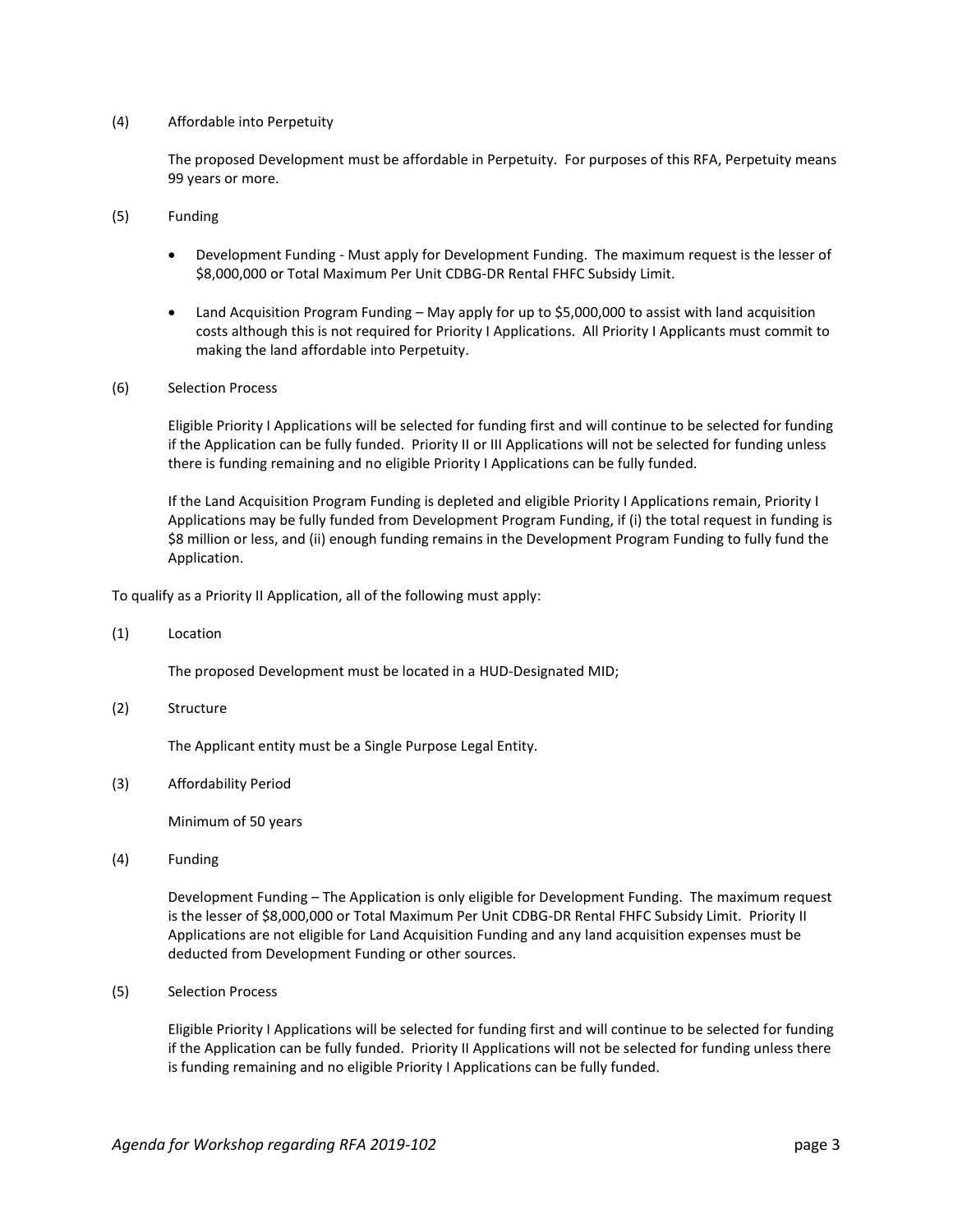## (4) Affordable into Perpetuity

The proposed Development must be affordable in Perpetuity. For purposes of this RFA, Perpetuity means 99 years or more.

- (5) Funding
	- Development Funding Must apply for Development Funding. The maximum request is the lesser of \$8,000,000 or Total Maximum Per Unit CDBG-DR Rental FHFC Subsidy Limit.
	- Land Acquisition Program Funding May apply for up to \$5,000,000 to assist with land acquisition costs although this is not required for Priority I Applications. All Priority I Applicants must commit to making the land affordable into Perpetuity.
- (6) Selection Process

Eligible Priority I Applications will be selected for funding first and will continue to be selected for funding if the Application can be fully funded. Priority II or III Applications will not be selected for funding unless there is funding remaining and no eligible Priority I Applications can be fully funded.

If the Land Acquisition Program Funding is depleted and eligible Priority I Applications remain, Priority I Applications may be fully funded from Development Program Funding, if (i) the total request in funding is \$8 million or less, and (ii) enough funding remains in the Development Program Funding to fully fund the Application.

To qualify as a Priority II Application, all of the following must apply:

(1) Location

The proposed Development must be located in a HUD-Designated MID;

(2) Structure

The Applicant entity must be a Single Purpose Legal Entity.

(3) Affordability Period

Minimum of 50 years

(4) Funding

Development Funding – The Application is only eligible for Development Funding. The maximum request is the lesser of \$8,000,000 or Total Maximum Per Unit CDBG-DR Rental FHFC Subsidy Limit. Priority II Applications are not eligible for Land Acquisition Funding and any land acquisition expenses must be deducted from Development Funding or other sources.

(5) Selection Process

Eligible Priority I Applications will be selected for funding first and will continue to be selected for funding if the Application can be fully funded. Priority II Applications will not be selected for funding unless there is funding remaining and no eligible Priority I Applications can be fully funded.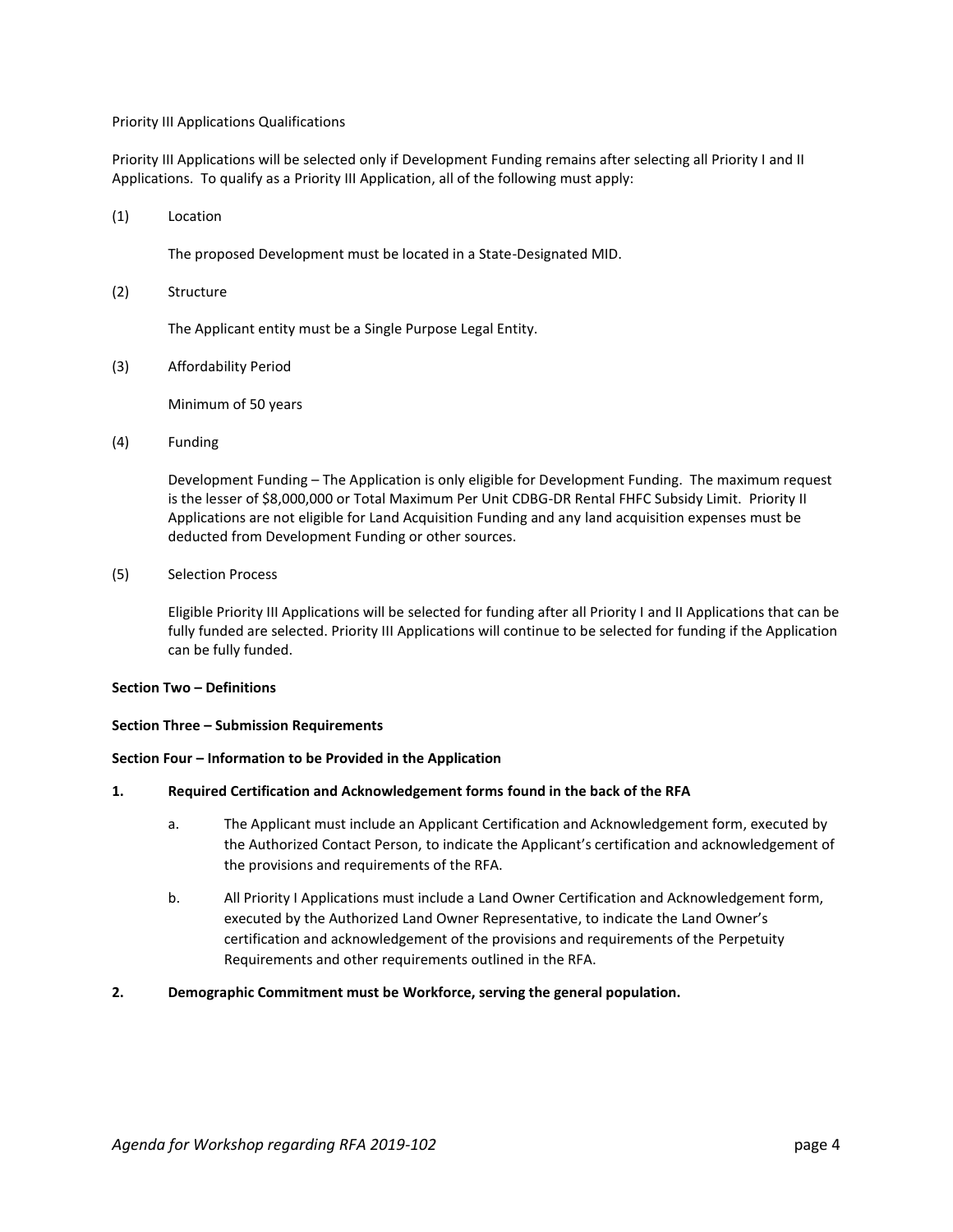#### Priority III Applications Qualifications

Priority III Applications will be selected only if Development Funding remains after selecting all Priority I and II Applications. To qualify as a Priority III Application, all of the following must apply:

(1) Location

The proposed Development must be located in a State-Designated MID.

(2) Structure

The Applicant entity must be a Single Purpose Legal Entity.

(3) Affordability Period

Minimum of 50 years

(4) Funding

Development Funding – The Application is only eligible for Development Funding. The maximum request is the lesser of \$8,000,000 or Total Maximum Per Unit CDBG-DR Rental FHFC Subsidy Limit. Priority II Applications are not eligible for Land Acquisition Funding and any land acquisition expenses must be deducted from Development Funding or other sources.

(5) Selection Process

Eligible Priority III Applications will be selected for funding after all Priority I and II Applications that can be fully funded are selected. Priority III Applications will continue to be selected for funding if the Application can be fully funded.

#### **Section Two – Definitions**

#### **Section Three – Submission Requirements**

## **Section Four – Information to be Provided in the Application**

#### **1. Required Certification and Acknowledgement forms found in the back of the RFA**

- a. The Applicant must include an Applicant Certification and Acknowledgement form, executed by the Authorized Contact Person, to indicate the Applicant's certification and acknowledgement of the provisions and requirements of the RFA.
- b. All Priority I Applications must include a Land Owner Certification and Acknowledgement form, executed by the Authorized Land Owner Representative, to indicate the Land Owner's certification and acknowledgement of the provisions and requirements of the Perpetuity Requirements and other requirements outlined in the RFA.
- **2. Demographic Commitment must be Workforce, serving the general population.**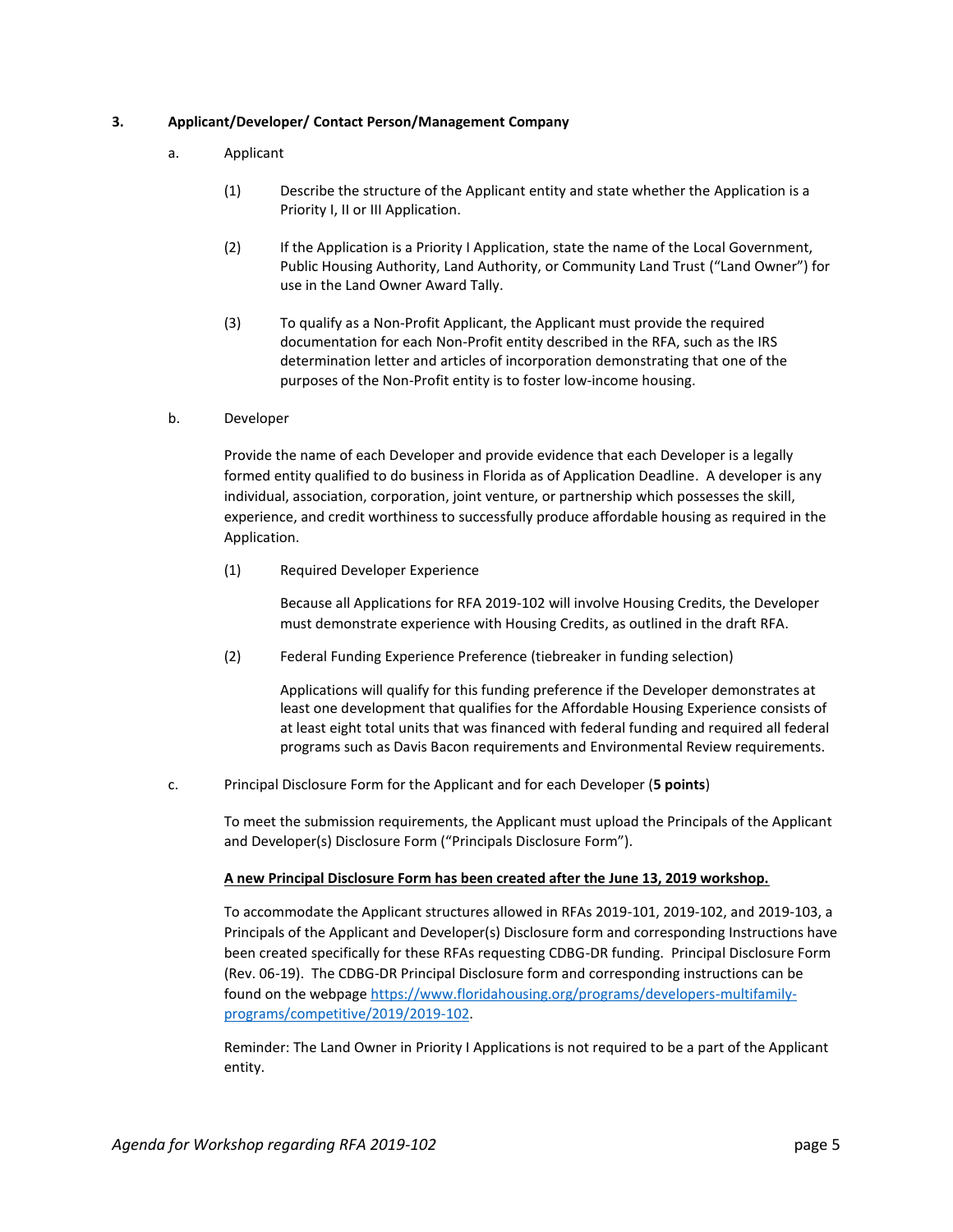## **3. Applicant/Developer/ Contact Person/Management Company**

- a. Applicant
	- (1) Describe the structure of the Applicant entity and state whether the Application is a Priority I, II or III Application.
	- (2) If the Application is a Priority I Application, state the name of the Local Government, Public Housing Authority, Land Authority, or Community Land Trust ("Land Owner") for use in the Land Owner Award Tally.
	- (3) To qualify as a Non-Profit Applicant, the Applicant must provide the required documentation for each Non-Profit entity described in the RFA, such as the IRS determination letter and articles of incorporation demonstrating that one of the purposes of the Non-Profit entity is to foster low-income housing.
- b. Developer

Provide the name of each Developer and provide evidence that each Developer is a legally formed entity qualified to do business in Florida as of Application Deadline. A developer is any individual, association, corporation, joint venture, or partnership which possesses the skill, experience, and credit worthiness to successfully produce affordable housing as required in the Application.

(1) Required Developer Experience

Because all Applications for RFA 2019-102 will involve Housing Credits, the Developer must demonstrate experience with Housing Credits, as outlined in the draft RFA.

(2) Federal Funding Experience Preference (tiebreaker in funding selection)

Applications will qualify for this funding preference if the Developer demonstrates at least one development that qualifies for the Affordable Housing Experience consists of at least eight total units that was financed with federal funding and required all federal programs such as Davis Bacon requirements and Environmental Review requirements.

c. Principal Disclosure Form for the Applicant and for each Developer (**5 points**)

To meet the submission requirements, the Applicant must upload the Principals of the Applicant and Developer(s) Disclosure Form ("Principals Disclosure Form").

## **A new Principal Disclosure Form has been created after the June 13, 2019 workshop.**

To accommodate the Applicant structures allowed in RFAs 2019-101, 2019-102, and 2019-103, a Principals of the Applicant and Developer(s) Disclosure form and corresponding Instructions have been created specifically for these RFAs requesting CDBG-DR funding. Principal Disclosure Form (Rev. 06-19). The CDBG-DR Principal Disclosure form and corresponding instructions can be found on the webpage [https://www.floridahousing.org/programs/developers-multifamily](https://www.floridahousing.org/programs/developers-multifamily-programs/competitive/2019/2019-102)[programs/competitive/2019/2019-102.](https://www.floridahousing.org/programs/developers-multifamily-programs/competitive/2019/2019-102)

Reminder: The Land Owner in Priority I Applications is not required to be a part of the Applicant entity.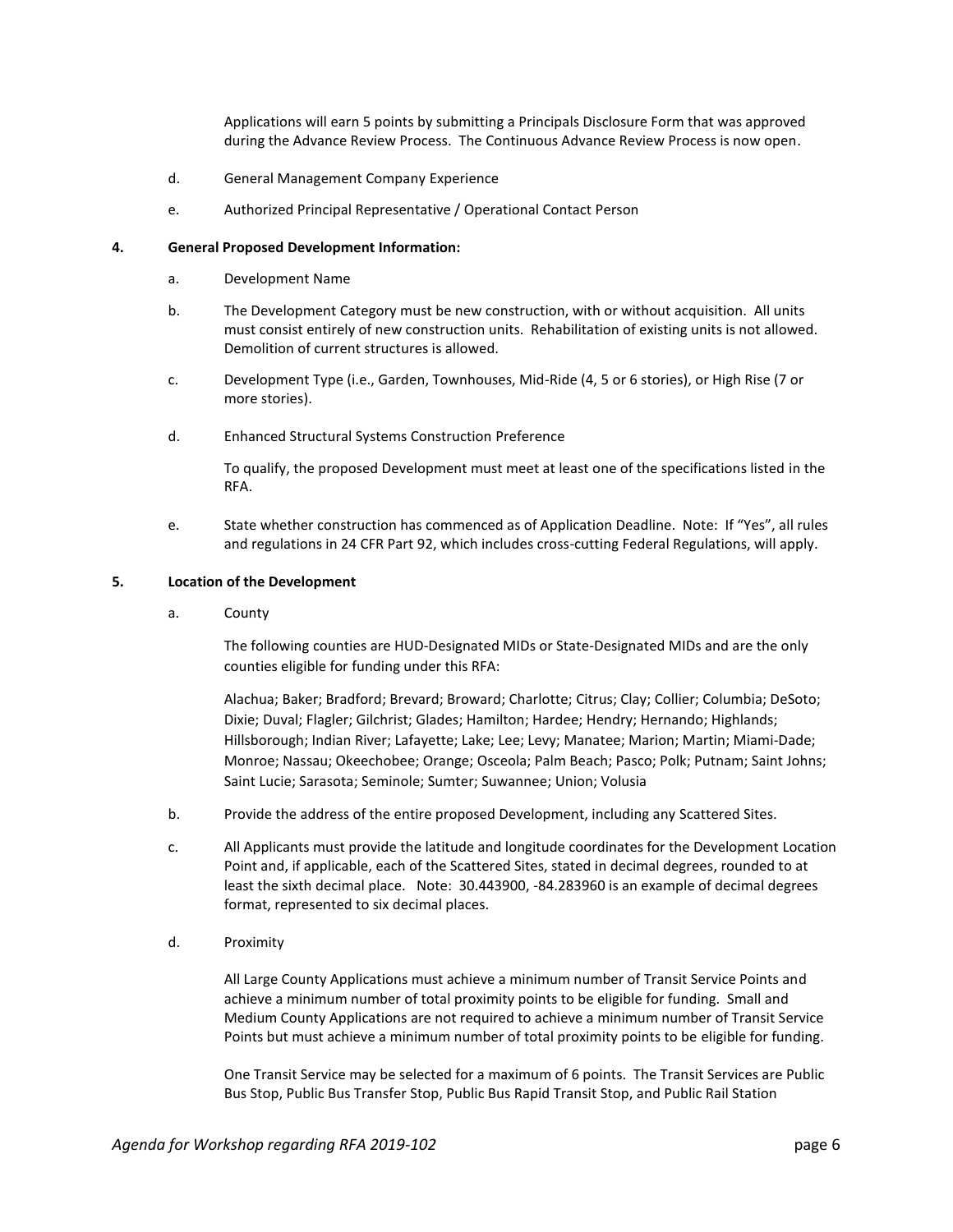Applications will earn 5 points by submitting a Principals Disclosure Form that was approved during the Advance Review Process. The Continuous Advance Review Process is now open.

- d. General Management Company Experience
- e. Authorized Principal Representative / Operational Contact Person

## **4. General Proposed Development Information:**

- a. Development Name
- b. The Development Category must be new construction, with or without acquisition. All units must consist entirely of new construction units. Rehabilitation of existing units is not allowed. Demolition of current structures is allowed.
- c. Development Type (i.e., Garden, Townhouses, Mid-Ride (4, 5 or 6 stories), or High Rise (7 or more stories).
- d. Enhanced Structural Systems Construction Preference

To qualify, the proposed Development must meet at least one of the specifications listed in the RFA.

e. State whether construction has commenced as of Application Deadline. Note: If "Yes", all rules and regulations in 24 CFR Part 92, which includes cross-cutting Federal Regulations, will apply.

#### **5. Location of the Development**

a. County

The following counties are HUD-Designated MIDs or State-Designated MIDs and are the only counties eligible for funding under this RFA:

Alachua; Baker; Bradford; Brevard; Broward; Charlotte; Citrus; Clay; Collier; Columbia; DeSoto; Dixie; Duval; Flagler; Gilchrist; Glades; Hamilton; Hardee; Hendry; Hernando; Highlands; Hillsborough; Indian River; Lafayette; Lake; Lee; Levy; Manatee; Marion; Martin; Miami-Dade; Monroe; Nassau; Okeechobee; Orange; Osceola; Palm Beach; Pasco; Polk; Putnam; Saint Johns; Saint Lucie; Sarasota; Seminole; Sumter; Suwannee; Union; Volusia

- b. Provide the address of the entire proposed Development, including any Scattered Sites.
- c. All Applicants must provide the latitude and longitude coordinates for the Development Location Point and, if applicable, each of the Scattered Sites, stated in decimal degrees, rounded to at least the sixth decimal place. Note: 30.443900, -84.283960 is an example of decimal degrees format, represented to six decimal places.
- d. Proximity

All Large County Applications must achieve a minimum number of Transit Service Points and achieve a minimum number of total proximity points to be eligible for funding. Small and Medium County Applications are not required to achieve a minimum number of Transit Service Points but must achieve a minimum number of total proximity points to be eligible for funding.

One Transit Service may be selected for a maximum of 6 points. The Transit Services are Public Bus Stop, Public Bus Transfer Stop, Public Bus Rapid Transit Stop, and Public Rail Station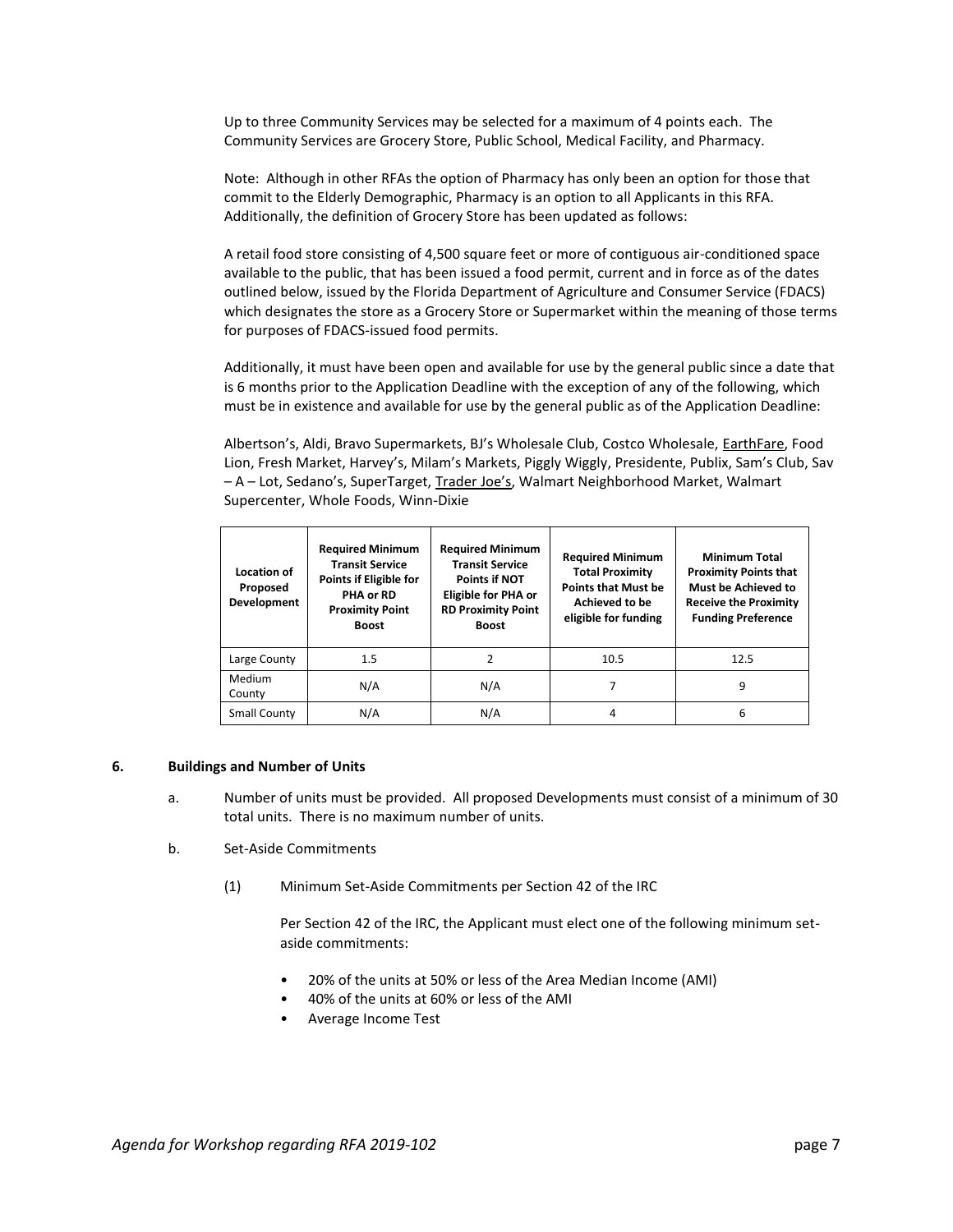Up to three Community Services may be selected for a maximum of 4 points each. The Community Services are Grocery Store, Public School, Medical Facility, and Pharmacy.

Note: Although in other RFAs the option of Pharmacy has only been an option for those that commit to the Elderly Demographic, Pharmacy is an option to all Applicants in this RFA. Additionally, the definition of Grocery Store has been updated as follows:

A retail food store consisting of 4,500 square feet or more of contiguous air-conditioned space available to the public, that has been issued a food permit, current and in force as of the dates outlined below, issued by the Florida Department of Agriculture and Consumer Service (FDACS) which designates the store as a Grocery Store or Supermarket within the meaning of those terms for purposes of FDACS-issued food permits.

Additionally, it must have been open and available for use by the general public since a date that is 6 months prior to the Application Deadline with the exception of any of the following, which must be in existence and available for use by the general public as of the Application Deadline:

Albertson's, Aldi, Bravo Supermarkets, BJ's Wholesale Club, Costco Wholesale, EarthFare, Food Lion, Fresh Market, Harvey's, Milam's Markets, Piggly Wiggly, Presidente, Publix, Sam's Club, Sav – A – Lot, Sedano's, SuperTarget, Trader Joe's, Walmart Neighborhood Market, Walmart Supercenter, Whole Foods, Winn-Dixie

| Location of<br>Proposed<br>Development | <b>Required Minimum</b><br><b>Transit Service</b><br>Points if Eligible for<br>PHA or RD<br><b>Proximity Point</b><br><b>Boost</b> | <b>Required Minimum</b><br><b>Transit Service</b><br><b>Points if NOT</b><br><b>Eligible for PHA or</b><br><b>RD Proximity Point</b><br><b>Boost</b> | <b>Required Minimum</b><br><b>Total Proximity</b><br><b>Points that Must be</b><br><b>Achieved to be</b><br>eligible for funding | <b>Minimum Total</b><br><b>Proximity Points that</b><br>Must be Achieved to<br><b>Receive the Proximity</b><br><b>Funding Preference</b> |
|----------------------------------------|------------------------------------------------------------------------------------------------------------------------------------|------------------------------------------------------------------------------------------------------------------------------------------------------|----------------------------------------------------------------------------------------------------------------------------------|------------------------------------------------------------------------------------------------------------------------------------------|
| Large County                           | 1.5                                                                                                                                | 2                                                                                                                                                    | 10.5                                                                                                                             | 12.5                                                                                                                                     |
| Medium<br>County                       | N/A                                                                                                                                | N/A                                                                                                                                                  |                                                                                                                                  | 9                                                                                                                                        |
| <b>Small County</b>                    | N/A                                                                                                                                | N/A                                                                                                                                                  | 4                                                                                                                                | 6                                                                                                                                        |

#### **6. Buildings and Number of Units**

- a. Number of units must be provided. All proposed Developments must consist of a minimum of 30 total units. There is no maximum number of units.
- b. Set-Aside Commitments
	- (1) Minimum Set-Aside Commitments per Section 42 of the IRC

Per Section 42 of the IRC, the Applicant must elect one of the following minimum setaside commitments:

- 20% of the units at 50% or less of the Area Median Income (AMI)
- 40% of the units at 60% or less of the AMI
- Average Income Test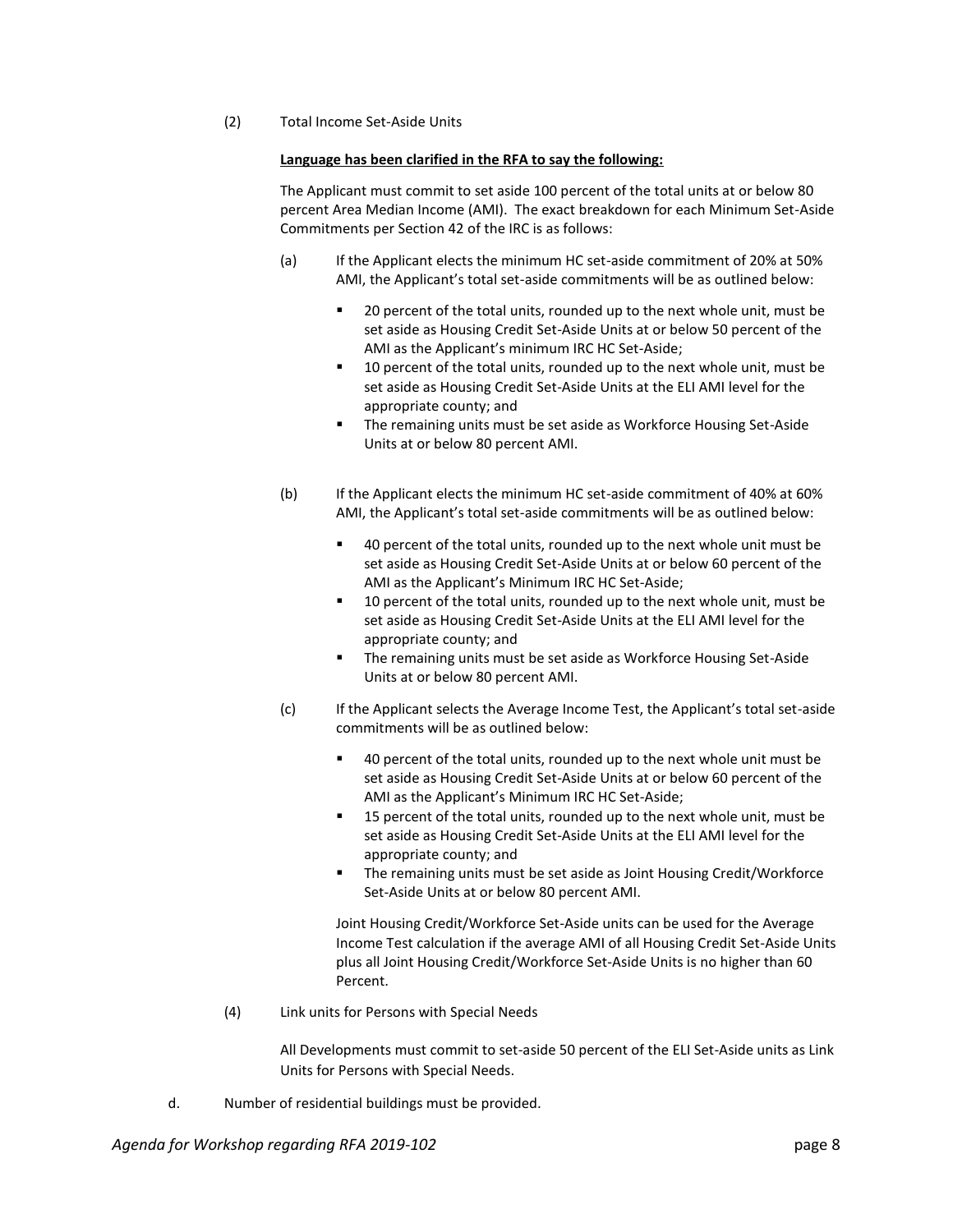(2) Total Income Set-Aside Units

## **Language has been clarified in the RFA to say the following:**

The Applicant must commit to set aside 100 percent of the total units at or below 80 percent Area Median Income (AMI). The exact breakdown for each Minimum Set-Aside Commitments per Section 42 of the IRC is as follows:

- (a) If the Applicant elects the minimum HC set-aside commitment of 20% at 50% AMI, the Applicant's total set-aside commitments will be as outlined below:
	- 20 percent of the total units, rounded up to the next whole unit, must be set aside as Housing Credit Set-Aside Units at or below 50 percent of the AMI as the Applicant's minimum IRC HC Set-Aside;
	- 10 percent of the total units, rounded up to the next whole unit, must be set aside as Housing Credit Set-Aside Units at the ELI AMI level for the appropriate county; and
	- The remaining units must be set aside as Workforce Housing Set-Aside Units at or below 80 percent AMI.
- (b) If the Applicant elects the minimum HC set-aside commitment of 40% at 60% AMI, the Applicant's total set-aside commitments will be as outlined below:
	- 40 percent of the total units, rounded up to the next whole unit must be set aside as Housing Credit Set-Aside Units at or below 60 percent of the AMI as the Applicant's Minimum IRC HC Set-Aside;
	- 10 percent of the total units, rounded up to the next whole unit, must be set aside as Housing Credit Set-Aside Units at the ELI AMI level for the appropriate county; and
	- **The remaining units must be set aside as Workforce Housing Set-Aside** Units at or below 80 percent AMI.
- (c) If the Applicant selects the Average Income Test, the Applicant's total set-aside commitments will be as outlined below:
	- 40 percent of the total units, rounded up to the next whole unit must be set aside as Housing Credit Set-Aside Units at or below 60 percent of the AMI as the Applicant's Minimum IRC HC Set-Aside;
	- 15 percent of the total units, rounded up to the next whole unit, must be set aside as Housing Credit Set-Aside Units at the ELI AMI level for the appropriate county; and
	- The remaining units must be set aside as Joint Housing Credit/Workforce Set-Aside Units at or below 80 percent AMI.

Joint Housing Credit/Workforce Set-Aside units can be used for the Average Income Test calculation if the average AMI of all Housing Credit Set-Aside Units plus all Joint Housing Credit/Workforce Set-Aside Units is no higher than 60 Percent.

(4) Link units for Persons with Special Needs

All Developments must commit to set-aside 50 percent of the ELI Set-Aside units as Link Units for Persons with Special Needs.

d. Number of residential buildings must be provided.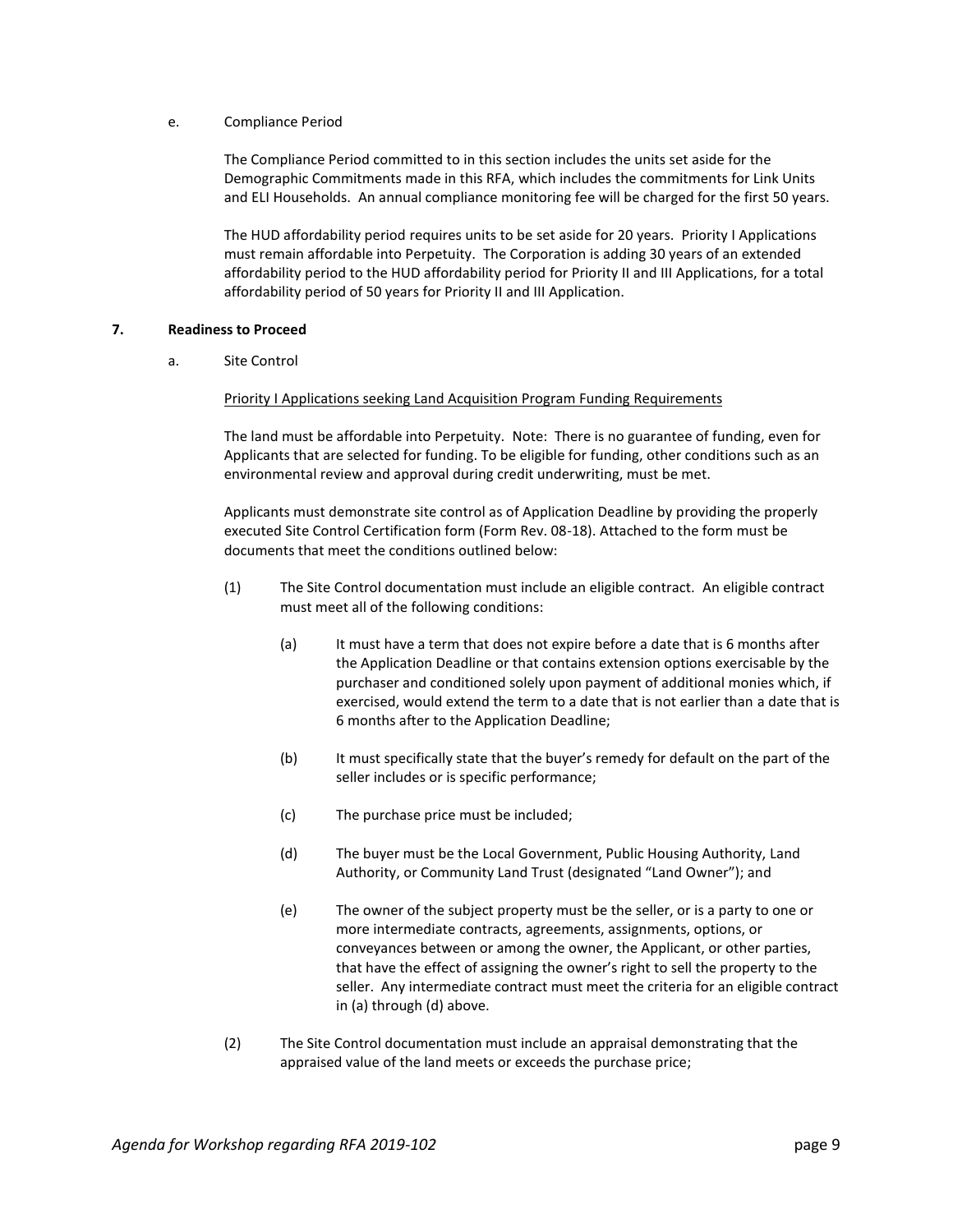## e. Compliance Period

The Compliance Period committed to in this section includes the units set aside for the Demographic Commitments made in this RFA, which includes the commitments for Link Units and ELI Households. An annual compliance monitoring fee will be charged for the first 50 years.

The HUD affordability period requires units to be set aside for 20 years. Priority I Applications must remain affordable into Perpetuity. The Corporation is adding 30 years of an extended affordability period to the HUD affordability period for Priority II and III Applications, for a total affordability period of 50 years for Priority II and III Application.

## **7. Readiness to Proceed**

a. Site Control

## **Priority I Applications seeking Land Acquisition Program Funding Requirements**

The land must be affordable into Perpetuity. Note: There is no guarantee of funding, even for Applicants that are selected for funding. To be eligible for funding, other conditions such as an environmental review and approval during credit underwriting, must be met.

Applicants must demonstrate site control as of Application Deadline by providing the properly executed Site Control Certification form (Form Rev. 08-18). Attached to the form must be documents that meet the conditions outlined below:

- (1) The Site Control documentation must include an eligible contract. An eligible contract must meet all of the following conditions:
	- (a) It must have a term that does not expire before a date that is 6 months after the Application Deadline or that contains extension options exercisable by the purchaser and conditioned solely upon payment of additional monies which, if exercised, would extend the term to a date that is not earlier than a date that is 6 months after to the Application Deadline;
	- (b) It must specifically state that the buyer's remedy for default on the part of the seller includes or is specific performance;
	- (c) The purchase price must be included;
	- (d) The buyer must be the Local Government, Public Housing Authority, Land Authority, or Community Land Trust (designated "Land Owner"); and
	- (e) The owner of the subject property must be the seller, or is a party to one or more intermediate contracts, agreements, assignments, options, or conveyances between or among the owner, the Applicant, or other parties, that have the effect of assigning the owner's right to sell the property to the seller. Any intermediate contract must meet the criteria for an eligible contract in (a) through (d) above.
- (2) The Site Control documentation must include an appraisal demonstrating that the appraised value of the land meets or exceeds the purchase price;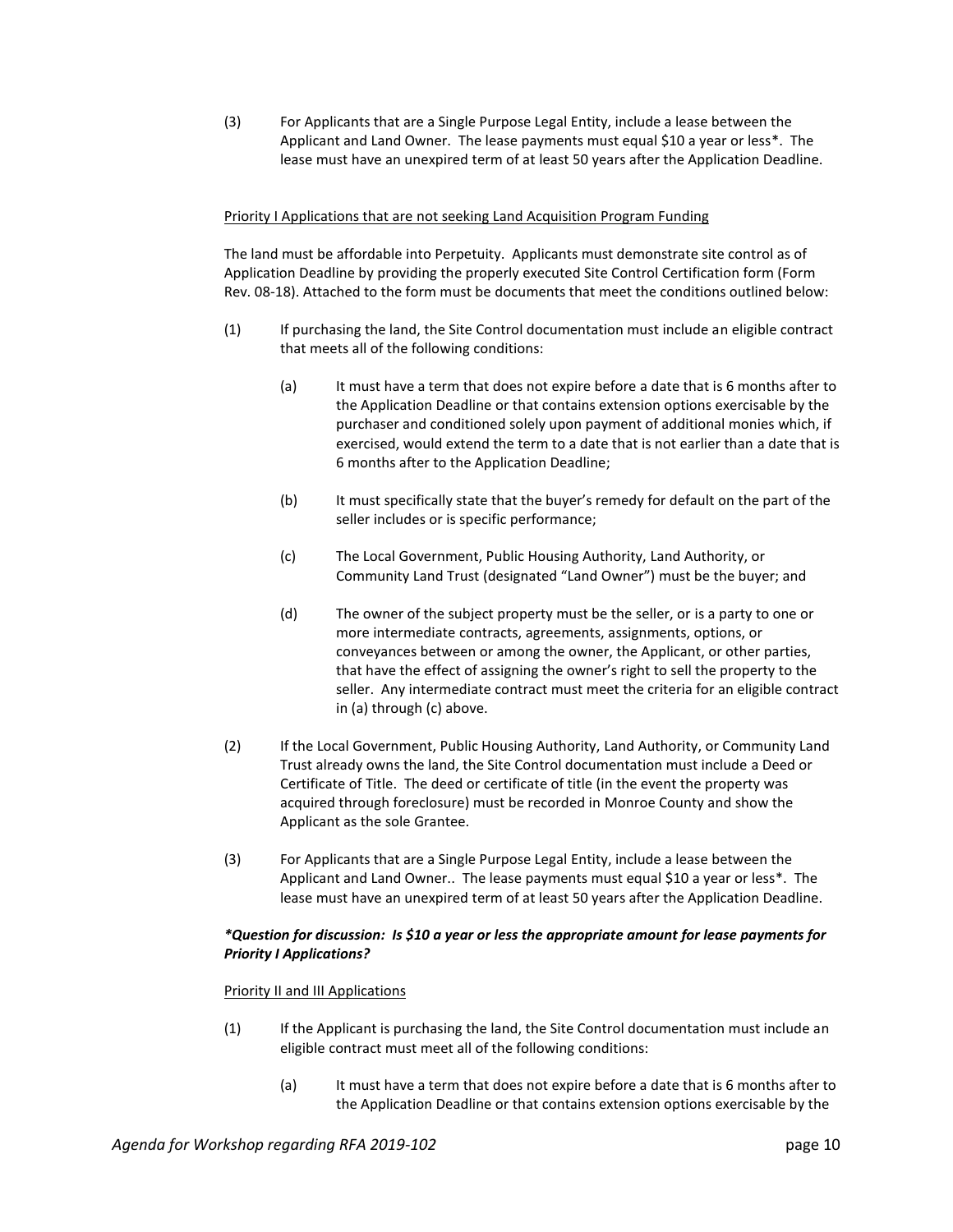(3) For Applicants that are a Single Purpose Legal Entity, include a lease between the Applicant and Land Owner. The lease payments must equal \$10 a year or less\*. The lease must have an unexpired term of at least 50 years after the Application Deadline.

## Priority I Applications that are not seeking Land Acquisition Program Funding

The land must be affordable into Perpetuity. Applicants must demonstrate site control as of Application Deadline by providing the properly executed Site Control Certification form (Form Rev. 08-18). Attached to the form must be documents that meet the conditions outlined below:

- (1) If purchasing the land, the Site Control documentation must include an eligible contract that meets all of the following conditions:
	- (a) It must have a term that does not expire before a date that is 6 months after to the Application Deadline or that contains extension options exercisable by the purchaser and conditioned solely upon payment of additional monies which, if exercised, would extend the term to a date that is not earlier than a date that is 6 months after to the Application Deadline;
	- (b) It must specifically state that the buyer's remedy for default on the part of the seller includes or is specific performance;
	- (c) The Local Government, Public Housing Authority, Land Authority, or Community Land Trust (designated "Land Owner") must be the buyer; and
	- (d) The owner of the subject property must be the seller, or is a party to one or more intermediate contracts, agreements, assignments, options, or conveyances between or among the owner, the Applicant, or other parties, that have the effect of assigning the owner's right to sell the property to the seller. Any intermediate contract must meet the criteria for an eligible contract in (a) through (c) above.
- (2) If the Local Government, Public Housing Authority, Land Authority, or Community Land Trust already owns the land, the Site Control documentation must include a Deed or Certificate of Title. The deed or certificate of title (in the event the property was acquired through foreclosure) must be recorded in Monroe County and show the Applicant as the sole Grantee.
- (3) For Applicants that are a Single Purpose Legal Entity, include a lease between the Applicant and Land Owner.. The lease payments must equal \$10 a year or less\*. The lease must have an unexpired term of at least 50 years after the Application Deadline.

## *\*Question for discussion: Is \$10 a year or less the appropriate amount for lease payments for Priority I Applications?*

## Priority II and III Applications

- (1) If the Applicant is purchasing the land, the Site Control documentation must include an eligible contract must meet all of the following conditions:
	- (a) It must have a term that does not expire before a date that is 6 months after to the Application Deadline or that contains extension options exercisable by the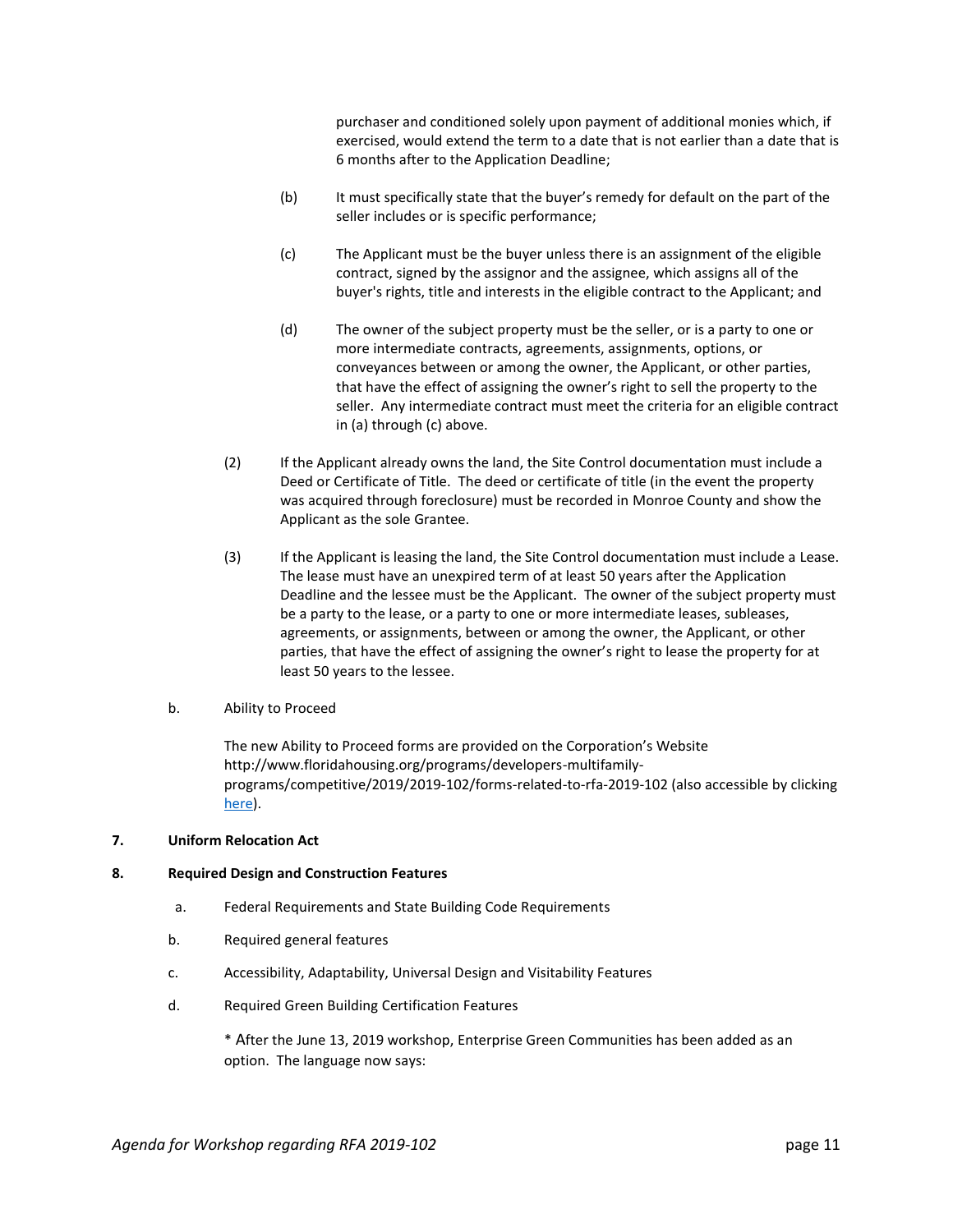purchaser and conditioned solely upon payment of additional monies which, if exercised, would extend the term to a date that is not earlier than a date that is 6 months after to the Application Deadline;

- (b) It must specifically state that the buyer's remedy for default on the part of the seller includes or is specific performance;
- (c) The Applicant must be the buyer unless there is an assignment of the eligible contract, signed by the assignor and the assignee, which assigns all of the buyer's rights, title and interests in the eligible contract to the Applicant; and
- (d) The owner of the subject property must be the seller, or is a party to one or more intermediate contracts, agreements, assignments, options, or conveyances between or among the owner, the Applicant, or other parties, that have the effect of assigning the owner's right to sell the property to the seller. Any intermediate contract must meet the criteria for an eligible contract in (a) through (c) above.
- (2) If the Applicant already owns the land, the Site Control documentation must include a Deed or Certificate of Title. The deed or certificate of title (in the event the property was acquired through foreclosure) must be recorded in Monroe County and show the Applicant as the sole Grantee.
- (3) If the Applicant is leasing the land, the Site Control documentation must include a Lease. The lease must have an unexpired term of at least 50 years after the Application Deadline and the lessee must be the Applicant. The owner of the subject property must be a party to the lease, or a party to one or more intermediate leases, subleases, agreements, or assignments, between or among the owner, the Applicant, or other parties, that have the effect of assigning the owner's right to lease the property for at least 50 years to the lessee.
- b. Ability to Proceed

The new Ability to Proceed forms are provided on the Corporation's Website http://www.floridahousing.org/programs/developers-multifamilyprograms/competitive/2019/2019-102/forms-related-to-rfa-2019-102 (also accessible by clicking [here\)](http://www.floridahousing.org/programs/developers-multifamily-programs/competitive/2019/2019-102/forms-related-to-rfa-2019-102).

## **7. Uniform Relocation Act**

## **8. Required Design and Construction Features**

- a. Federal Requirements and State Building Code Requirements
- b. Required general features
- c. Accessibility, Adaptability, Universal Design and Visitability Features
- d. Required Green Building Certification Features

\* After the June 13, 2019 workshop, Enterprise Green Communities has been added as an option. The language now says: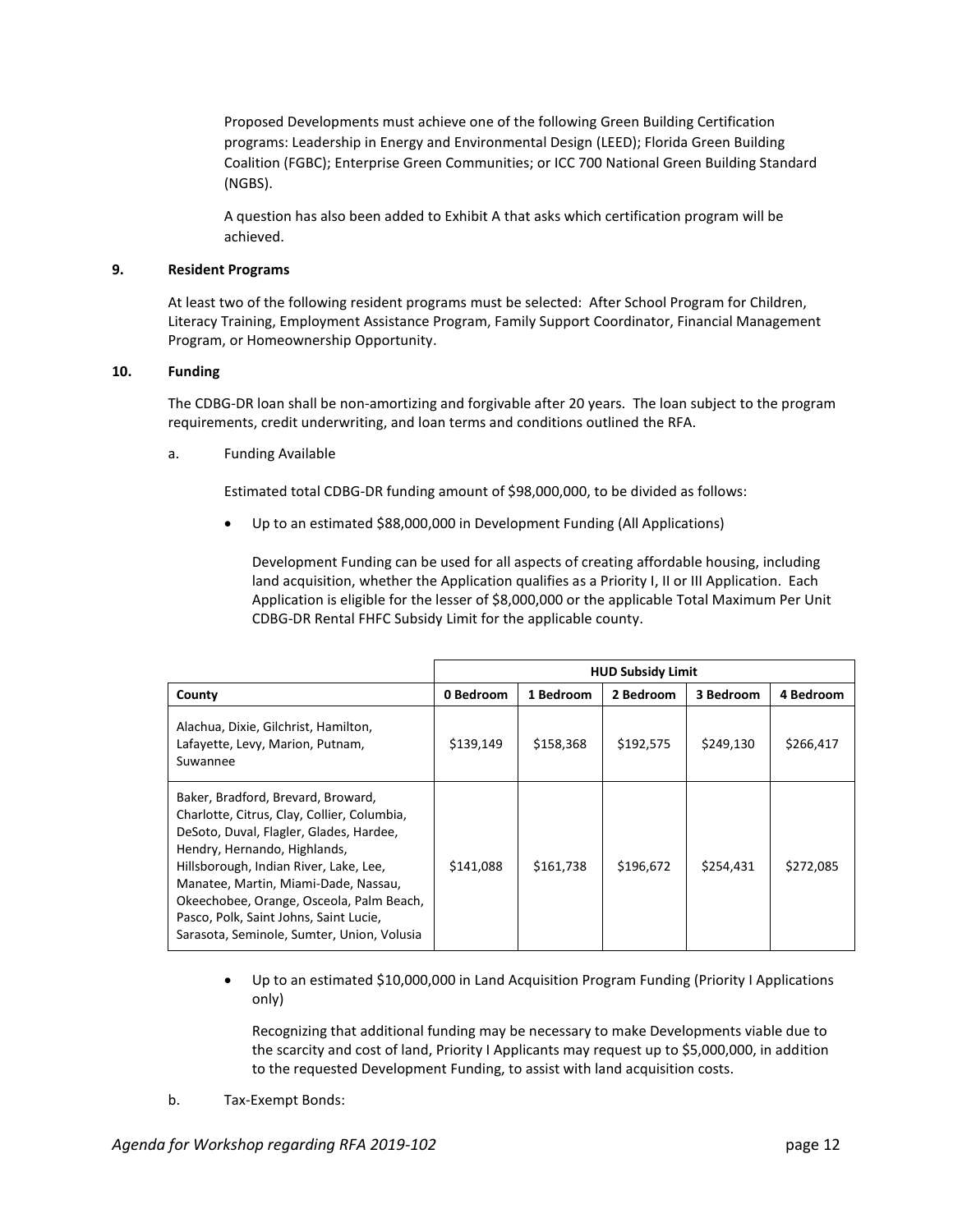Proposed Developments must achieve one of the following Green Building Certification programs: Leadership in Energy and Environmental Design (LEED); Florida Green Building Coalition (FGBC); Enterprise Green Communities; or ICC 700 National Green Building Standard (NGBS).

A question has also been added to Exhibit A that asks which certification program will be achieved.

## **9. Resident Programs**

At least two of the following resident programs must be selected: After School Program for Children, Literacy Training, Employment Assistance Program, Family Support Coordinator, Financial Management Program, or Homeownership Opportunity.

## **10. Funding**

The CDBG-DR loan shall be non-amortizing and forgivable after 20 years. The loan subject to the program requirements, credit underwriting, and loan terms and conditions outlined the RFA.

a. Funding Available

Estimated total CDBG-DR funding amount of \$98,000,000, to be divided as follows:

Up to an estimated \$88,000,000 in Development Funding (All Applications)

Development Funding can be used for all aspects of creating affordable housing, including land acquisition, whether the Application qualifies as a Priority I, II or III Application. Each Application is eligible for the lesser of \$8,000,000 or the applicable Total Maximum Per Unit CDBG-DR Rental FHFC Subsidy Limit for the applicable county.

|                                                                                                                                                                                                                                                                                                                                                                                    | <b>HUD Subsidy Limit</b> |           |           |           |           |
|------------------------------------------------------------------------------------------------------------------------------------------------------------------------------------------------------------------------------------------------------------------------------------------------------------------------------------------------------------------------------------|--------------------------|-----------|-----------|-----------|-----------|
| County                                                                                                                                                                                                                                                                                                                                                                             | 0 Bedroom                | 1 Bedroom | 2 Bedroom | 3 Bedroom | 4 Bedroom |
| Alachua, Dixie, Gilchrist, Hamilton,<br>Lafayette, Levy, Marion, Putnam,<br>Suwannee                                                                                                                                                                                                                                                                                               | \$139,149                | \$158,368 | \$192,575 | \$249,130 | \$266,417 |
| Baker, Bradford, Brevard, Broward,<br>Charlotte, Citrus, Clay, Collier, Columbia,<br>DeSoto, Duval, Flagler, Glades, Hardee,<br>Hendry, Hernando, Highlands,<br>Hillsborough, Indian River, Lake, Lee,<br>Manatee, Martin, Miami-Dade, Nassau,<br>Okeechobee, Orange, Osceola, Palm Beach,<br>Pasco, Polk, Saint Johns, Saint Lucie,<br>Sarasota, Seminole, Sumter, Union, Volusia | \$141.088                | \$161.738 | \$196.672 | \$254,431 | \$272,085 |

• Up to an estimated \$10,000,000 in Land Acquisition Program Funding (Priority I Applications only)

Recognizing that additional funding may be necessary to make Developments viable due to the scarcity and cost of land, Priority I Applicants may request up to \$5,000,000, in addition to the requested Development Funding, to assist with land acquisition costs.

b. Tax-Exempt Bonds: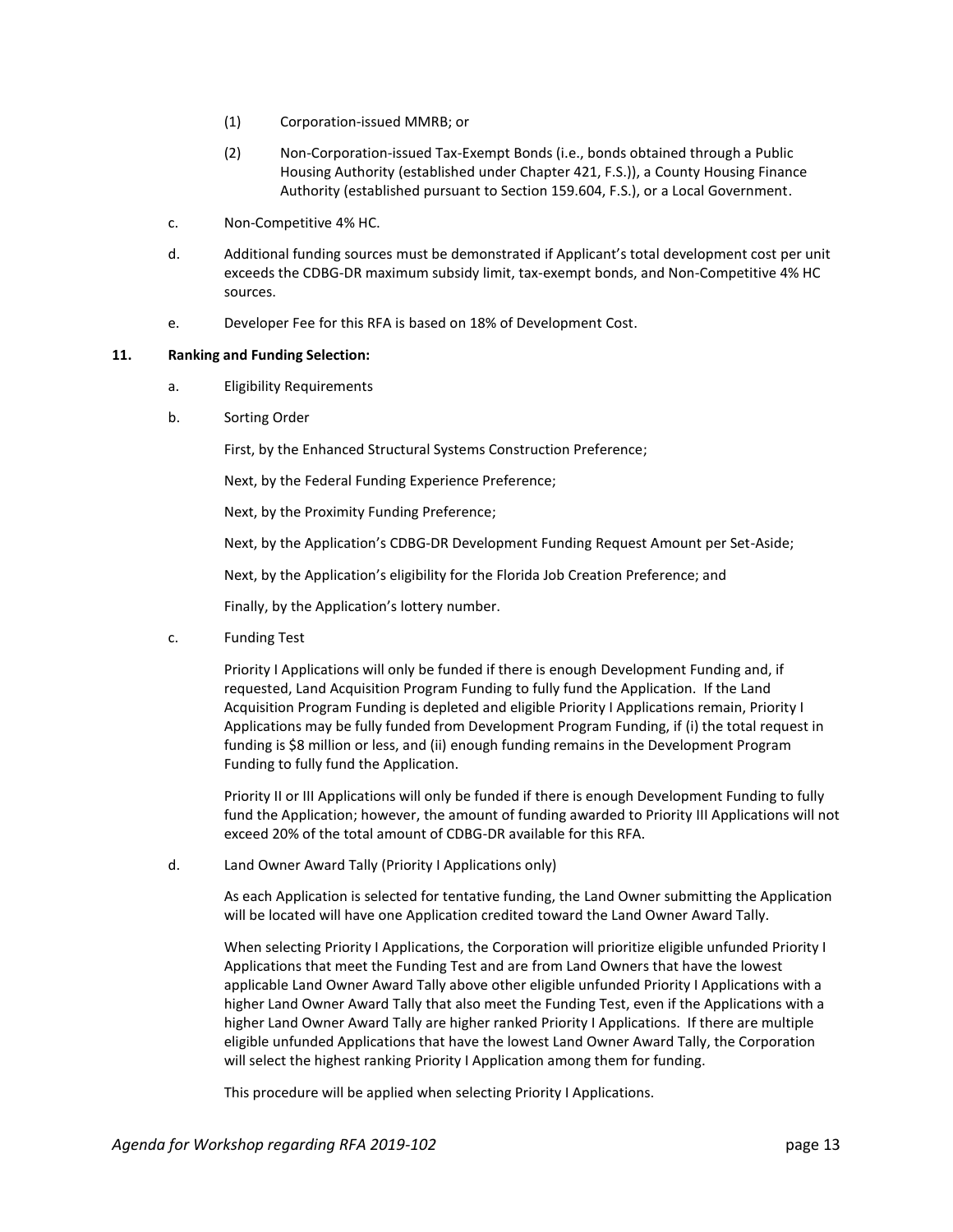- (1) Corporation-issued MMRB; or
- (2) Non-Corporation-issued Tax-Exempt Bonds (i.e., bonds obtained through a Public Housing Authority (established under Chapter 421, F.S.)), a County Housing Finance Authority (established pursuant to Section 159.604, F.S.), or a Local Government.
- c. Non-Competitive 4% HC.
- d. Additional funding sources must be demonstrated if Applicant's total development cost per unit exceeds the CDBG-DR maximum subsidy limit, tax-exempt bonds, and Non-Competitive 4% HC sources.
- e. Developer Fee for this RFA is based on 18% of Development Cost.

## **11. Ranking and Funding Selection:**

- a. Eligibility Requirements
- b. Sorting Order

First, by the Enhanced Structural Systems Construction Preference;

Next, by the Federal Funding Experience Preference;

Next, by the Proximity Funding Preference;

Next, by the Application's CDBG-DR Development Funding Request Amount per Set-Aside;

Next, by the Application's eligibility for the Florida Job Creation Preference; and

Finally, by the Application's lottery number.

c. Funding Test

Priority I Applications will only be funded if there is enough Development Funding and, if requested, Land Acquisition Program Funding to fully fund the Application. If the Land Acquisition Program Funding is depleted and eligible Priority I Applications remain, Priority I Applications may be fully funded from Development Program Funding, if (i) the total request in funding is \$8 million or less, and (ii) enough funding remains in the Development Program Funding to fully fund the Application.

Priority II or III Applications will only be funded if there is enough Development Funding to fully fund the Application; however, the amount of funding awarded to Priority III Applications will not exceed 20% of the total amount of CDBG-DR available for this RFA.

d. Land Owner Award Tally (Priority I Applications only)

As each Application is selected for tentative funding, the Land Owner submitting the Application will be located will have one Application credited toward the Land Owner Award Tally.

When selecting Priority I Applications, the Corporation will prioritize eligible unfunded Priority I Applications that meet the Funding Test and are from Land Owners that have the lowest applicable Land Owner Award Tally above other eligible unfunded Priority I Applications with a higher Land Owner Award Tally that also meet the Funding Test, even if the Applications with a higher Land Owner Award Tally are higher ranked Priority I Applications. If there are multiple eligible unfunded Applications that have the lowest Land Owner Award Tally, the Corporation will select the highest ranking Priority I Application among them for funding.

This procedure will be applied when selecting Priority I Applications.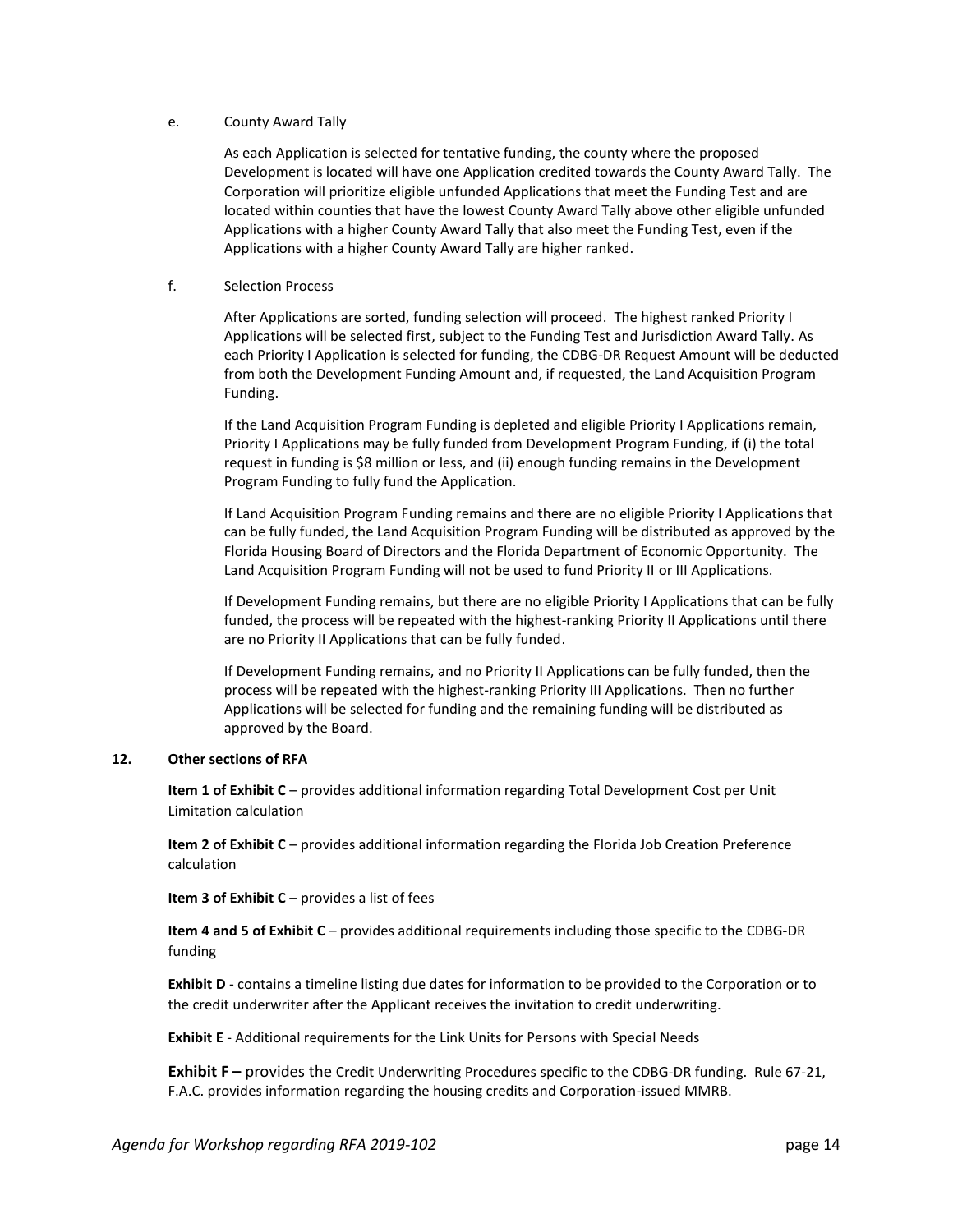## e. County Award Tally

As each Application is selected for tentative funding, the county where the proposed Development is located will have one Application credited towards the County Award Tally. The Corporation will prioritize eligible unfunded Applications that meet the Funding Test and are located within counties that have the lowest County Award Tally above other eligible unfunded Applications with a higher County Award Tally that also meet the Funding Test, even if the Applications with a higher County Award Tally are higher ranked.

## f. Selection Process

After Applications are sorted, funding selection will proceed. The highest ranked Priority I Applications will be selected first, subject to the Funding Test and Jurisdiction Award Tally. As each Priority I Application is selected for funding, the CDBG-DR Request Amount will be deducted from both the Development Funding Amount and, if requested, the Land Acquisition Program Funding.

If the Land Acquisition Program Funding is depleted and eligible Priority I Applications remain, Priority I Applications may be fully funded from Development Program Funding, if (i) the total request in funding is \$8 million or less, and (ii) enough funding remains in the Development Program Funding to fully fund the Application.

If Land Acquisition Program Funding remains and there are no eligible Priority I Applications that can be fully funded, the Land Acquisition Program Funding will be distributed as approved by the Florida Housing Board of Directors and the Florida Department of Economic Opportunity. The Land Acquisition Program Funding will not be used to fund Priority II or III Applications.

If Development Funding remains, but there are no eligible Priority I Applications that can be fully funded, the process will be repeated with the highest-ranking Priority II Applications until there are no Priority II Applications that can be fully funded.

If Development Funding remains, and no Priority II Applications can be fully funded, then the process will be repeated with the highest-ranking Priority III Applications. Then no further Applications will be selected for funding and the remaining funding will be distributed as approved by the Board.

## **12. Other sections of RFA**

**Item 1 of Exhibit C** – provides additional information regarding Total Development Cost per Unit Limitation calculation

**Item 2 of Exhibit C** – provides additional information regarding the Florida Job Creation Preference calculation

**Item 3 of Exhibit C** – provides a list of fees

**Item 4 and 5 of Exhibit C** – provides additional requirements including those specific to the CDBG-DR funding

**Exhibit D** - contains a timeline listing due dates for information to be provided to the Corporation or to the credit underwriter after the Applicant receives the invitation to credit underwriting.

**Exhibit E** - Additional requirements for the Link Units for Persons with Special Needs

**Exhibit F** – provides the Credit Underwriting Procedures specific to the CDBG-DR funding. Rule 67-21, F.A.C. provides information regarding the housing credits and Corporation-issued MMRB.